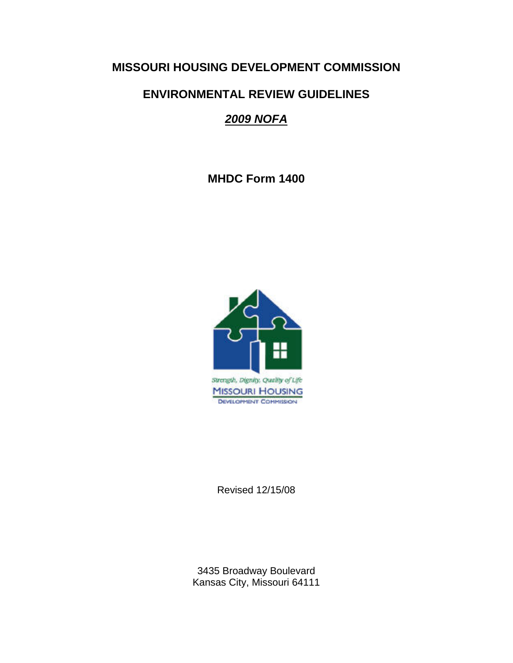# **MISSOURI HOUSING DEVELOPMENT COMMISSION**

# **ENVIRONMENTAL REVIEW GUIDELINES**

# *2009 NOFA*

**MHDC Form 1400** 



Revised 12/15/08

3435 Broadway Boulevard Kansas City, Missouri 64111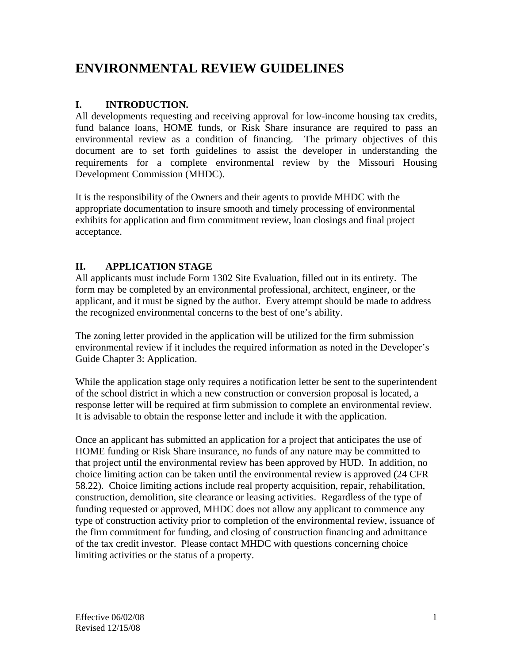# **ENVIRONMENTAL REVIEW GUIDELINES**

# **I. INTRODUCTION.**

All developments requesting and receiving approval for low-income housing tax credits, fund balance loans, HOME funds, or Risk Share insurance are required to pass an environmental review as a condition of financing. The primary objectives of this document are to set forth guidelines to assist the developer in understanding the requirements for a complete environmental review by the Missouri Housing Development Commission (MHDC).

It is the responsibility of the Owners and their agents to provide MHDC with the appropriate documentation to insure smooth and timely processing of environmental exhibits for application and firm commitment review, loan closings and final project acceptance.

# **II. APPLICATION STAGE**

All applicants must include Form 1302 Site Evaluation, filled out in its entirety. The form may be completed by an environmental professional, architect, engineer, or the applicant, and it must be signed by the author. Every attempt should be made to address the recognized environmental concerns to the best of one's ability.

The zoning letter provided in the application will be utilized for the firm submission environmental review if it includes the required information as noted in the Developer's Guide Chapter 3: Application.

While the application stage only requires a notification letter be sent to the superintendent of the school district in which a new construction or conversion proposal is located, a response letter will be required at firm submission to complete an environmental review. It is advisable to obtain the response letter and include it with the application.

Once an applicant has submitted an application for a project that anticipates the use of HOME funding or Risk Share insurance, no funds of any nature may be committed to that project until the environmental review has been approved by HUD. In addition, no choice limiting action can be taken until the environmental review is approved (24 CFR 58.22). Choice limiting actions include real property acquisition, repair, rehabilitation, construction, demolition, site clearance or leasing activities. Regardless of the type of funding requested or approved, MHDC does not allow any applicant to commence any type of construction activity prior to completion of the environmental review, issuance of the firm commitment for funding, and closing of construction financing and admittance of the tax credit investor. Please contact MHDC with questions concerning choice limiting activities or the status of a property.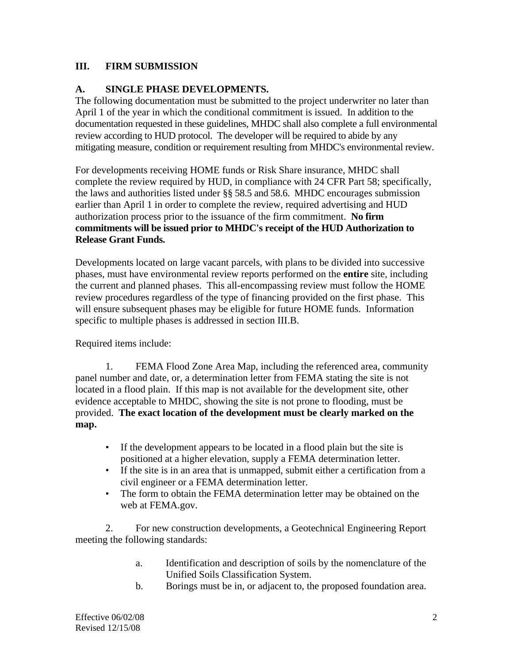# **III. FIRM SUBMISSION**

#### **A. SINGLE PHASE DEVELOPMENTS.**

The following documentation must be submitted to the project underwriter no later than April 1 of the year in which the conditional commitment is issued. In addition to the documentation requested in these guidelines, MHDC shall also complete a full environmental review according to HUD protocol. The developer will be required to abide by any mitigating measure, condition or requirement resulting from MHDC's environmental review.

For developments receiving HOME funds or Risk Share insurance, MHDC shall complete the review required by HUD, in compliance with 24 CFR Part 58; specifically, the laws and authorities listed under §§ 58.5 and 58.6. MHDC encourages submission earlier than April 1 in order to complete the review, required advertising and HUD authorization process prior to the issuance of the firm commitment. **No firm commitments will be issued prior to MHDC's receipt of the HUD Authorization to Release Grant Funds.**

Developments located on large vacant parcels, with plans to be divided into successive phases, must have environmental review reports performed on the **entire** site, including the current and planned phases. This all-encompassing review must follow the HOME review procedures regardless of the type of financing provided on the first phase. This will ensure subsequent phases may be eligible for future HOME funds. Information specific to multiple phases is addressed in section III.B.

Required items include:

1. FEMA Flood Zone Area Map, including the referenced area, community panel number and date, or, a determination letter from FEMA stating the site is not located in a flood plain. If this map is not available for the development site, other evidence acceptable to MHDC, showing the site is not prone to flooding, must be provided. **The exact location of the development must be clearly marked on the map.**

- If the development appears to be located in a flood plain but the site is positioned at a higher elevation, supply a FEMA determination letter.
- If the site is in an area that is unmapped, submit either a certification from a civil engineer or a FEMA determination letter.
- The form to obtain the FEMA determination letter may be obtained on the web at FEMA.gov.

 2. For new construction developments, a Geotechnical Engineering Report meeting the following standards:

- a. Identification and description of soils by the nomenclature of the Unified Soils Classification System.
- b. Borings must be in, or adjacent to, the proposed foundation area.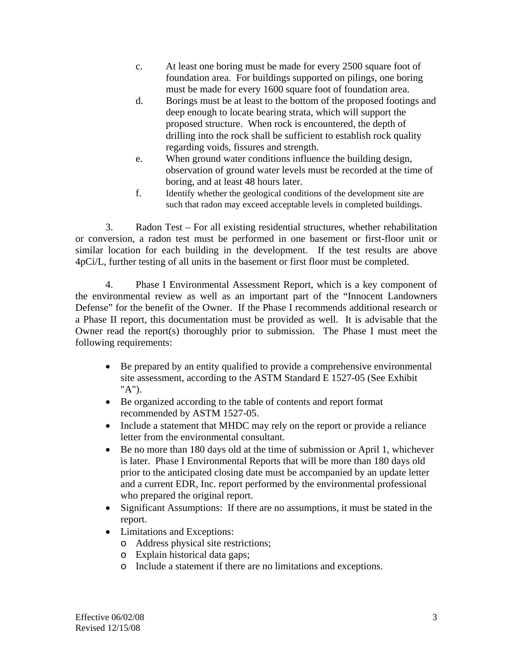- c. At least one boring must be made for every 2500 square foot of foundation area. For buildings supported on pilings, one boring must be made for every 1600 square foot of foundation area.
- d. Borings must be at least to the bottom of the proposed footings and deep enough to locate bearing strata, which will support the proposed structure. When rock is encountered, the depth of drilling into the rock shall be sufficient to establish rock quality regarding voids, fissures and strength.
- e. When ground water conditions influence the building design, observation of ground water levels must be recorded at the time of boring, and at least 48 hours later.
- f. Identify whether the geological conditions of the development site are such that radon may exceed acceptable levels in completed buildings.

3. Radon Test – For all existing residential structures, whether rehabilitation or conversion, a radon test must be performed in one basement or first-floor unit or similar location for each building in the development. If the test results are above 4pCi/L, further testing of all units in the basement or first floor must be completed.

4. Phase I Environmental Assessment Report, which is a key component of the environmental review as well as an important part of the "Innocent Landowners Defense" for the benefit of the Owner. If the Phase I recommends additional research or a Phase II report, this documentation must be provided as well. It is advisable that the Owner read the report(s) thoroughly prior to submission. The Phase I must meet the following requirements:

- Be prepared by an entity qualified to provide a comprehensive environmental site assessment, according to the ASTM Standard E 1527-05 (See Exhibit "A").
- Be organized according to the table of contents and report format recommended by ASTM 1527-05.
- Include a statement that MHDC may rely on the report or provide a reliance letter from the environmental consultant.
- Be no more than 180 days old at the time of submission or April 1, whichever is later. Phase I Environmental Reports that will be more than 180 days old prior to the anticipated closing date must be accompanied by an update letter and a current EDR, Inc. report performed by the environmental professional who prepared the original report.
- Significant Assumptions: If there are no assumptions, it must be stated in the report.
- Limitations and Exceptions:
	- o Address physical site restrictions;
	- o Explain historical data gaps;
	- o Include a statement if there are no limitations and exceptions.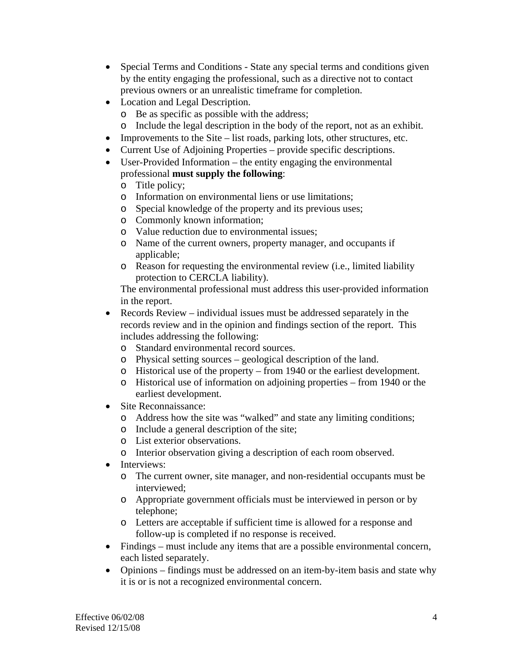- Special Terms and Conditions State any special terms and conditions given by the entity engaging the professional, such as a directive not to contact previous owners or an unrealistic timeframe for completion.
- Location and Legal Description.
	- o Be as specific as possible with the address;
	- o Include the legal description in the body of the report, not as an exhibit.
- Improvements to the Site list roads, parking lots, other structures, etc.
- Current Use of Adjoining Properties provide specific descriptions.
- User-Provided Information the entity engaging the environmental professional **must supply the following**:
	- o Title policy;
	- o Information on environmental liens or use limitations;
	- o Special knowledge of the property and its previous uses;
	- o Commonly known information;
	- o Value reduction due to environmental issues;
	- o Name of the current owners, property manager, and occupants if applicable;
	- o Reason for requesting the environmental review (i.e., limited liability protection to CERCLA liability).

The environmental professional must address this user-provided information in the report.

- Records Review individual issues must be addressed separately in the records review and in the opinion and findings section of the report. This includes addressing the following:
	- o Standard environmental record sources.
	- o Physical setting sources geological description of the land.
	- o Historical use of the property from 1940 or the earliest development.
	- o Historical use of information on adjoining properties from 1940 or the earliest development.
- Site Reconnaissance:
	- o Address how the site was "walked" and state any limiting conditions;
	- o Include a general description of the site;
	- o List exterior observations.
	- o Interior observation giving a description of each room observed.
- Interviews:
	- o The current owner, site manager, and non-residential occupants must be interviewed;
	- o Appropriate government officials must be interviewed in person or by telephone;
	- o Letters are acceptable if sufficient time is allowed for a response and follow-up is completed if no response is received.
- Findings must include any items that are a possible environmental concern, each listed separately.
- Opinions findings must be addressed on an item-by-item basis and state why it is or is not a recognized environmental concern.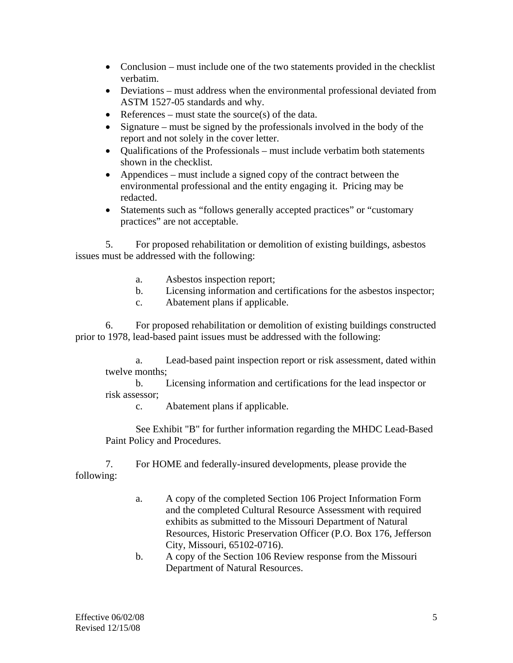- Conclusion must include one of the two statements provided in the checklist verbatim.
- Deviations must address when the environmental professional deviated from ASTM 1527-05 standards and why.
- References must state the source(s) of the data.
- Signature must be signed by the professionals involved in the body of the report and not solely in the cover letter.
- Oualifications of the Professionals must include verbatim both statements shown in the checklist.
- Appendices must include a signed copy of the contract between the environmental professional and the entity engaging it. Pricing may be redacted.
- Statements such as "follows generally accepted practices" or "customary" practices" are not acceptable.

5. For proposed rehabilitation or demolition of existing buildings, asbestos issues must be addressed with the following:

- a. Asbestos inspection report;
- b. Licensing information and certifications for the asbestos inspector;
- c. Abatement plans if applicable.

6. For proposed rehabilitation or demolition of existing buildings constructed prior to 1978, lead-based paint issues must be addressed with the following:

 a. Lead-based paint inspection report or risk assessment, dated within twelve months;

 b. Licensing information and certifications for the lead inspector or risk assessor;

c. Abatement plans if applicable.

 See Exhibit "B" for further information regarding the MHDC Lead-Based Paint Policy and Procedures.

7. For HOME and federally-insured developments, please provide the following:

- a. A copy of the completed Section 106 Project Information Form and the completed Cultural Resource Assessment with required exhibits as submitted to the Missouri Department of Natural Resources, Historic Preservation Officer (P.O. Box 176, Jefferson City, Missouri, 65102-0716).
- b. A copy of the Section 106 Review response from the Missouri Department of Natural Resources.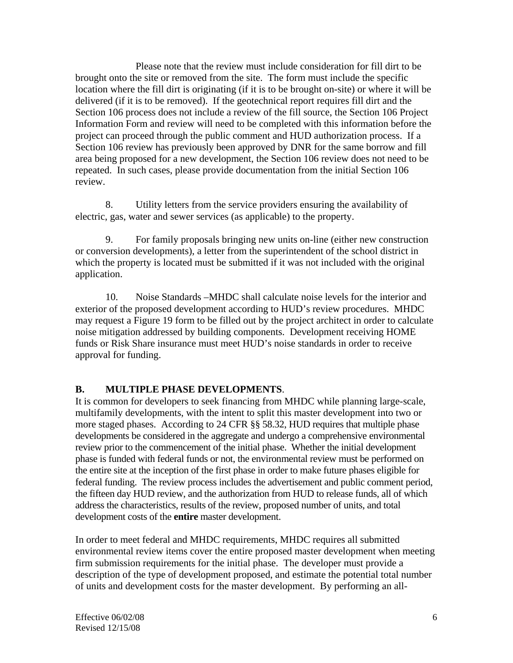Please note that the review must include consideration for fill dirt to be brought onto the site or removed from the site. The form must include the specific location where the fill dirt is originating (if it is to be brought on-site) or where it will be delivered (if it is to be removed). If the geotechnical report requires fill dirt and the Section 106 process does not include a review of the fill source, the Section 106 Project Information Form and review will need to be completed with this information before the project can proceed through the public comment and HUD authorization process. If a Section 106 review has previously been approved by DNR for the same borrow and fill area being proposed for a new development, the Section 106 review does not need to be repeated. In such cases, please provide documentation from the initial Section 106 review.

8. Utility letters from the service providers ensuring the availability of electric, gas, water and sewer services (as applicable) to the property.

9. For family proposals bringing new units on-line (either new construction or conversion developments), a letter from the superintendent of the school district in which the property is located must be submitted if it was not included with the original application.

10. Noise Standards –MHDC shall calculate noise levels for the interior and exterior of the proposed development according to HUD's review procedures. MHDC may request a Figure 19 form to be filled out by the project architect in order to calculate noise mitigation addressed by building components. Development receiving HOME funds or Risk Share insurance must meet HUD's noise standards in order to receive approval for funding.

# **B. MULTIPLE PHASE DEVELOPMENTS**.

It is common for developers to seek financing from MHDC while planning large-scale, multifamily developments, with the intent to split this master development into two or more staged phases. According to 24 CFR §§ 58.32, HUD requires that multiple phase developments be considered in the aggregate and undergo a comprehensive environmental review prior to the commencement of the initial phase. Whether the initial development phase is funded with federal funds or not, the environmental review must be performed on the entire site at the inception of the first phase in order to make future phases eligible for federal funding. The review process includes the advertisement and public comment period, the fifteen day HUD review, and the authorization from HUD to release funds, all of which address the characteristics, results of the review, proposed number of units, and total development costs of the **entire** master development.

In order to meet federal and MHDC requirements, MHDC requires all submitted environmental review items cover the entire proposed master development when meeting firm submission requirements for the initial phase. The developer must provide a description of the type of development proposed, and estimate the potential total number of units and development costs for the master development. By performing an all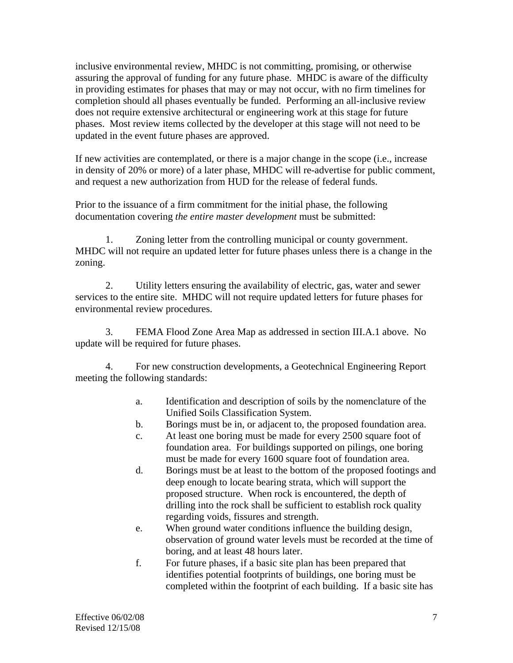inclusive environmental review, MHDC is not committing, promising, or otherwise assuring the approval of funding for any future phase. MHDC is aware of the difficulty in providing estimates for phases that may or may not occur, with no firm timelines for completion should all phases eventually be funded. Performing an all-inclusive review does not require extensive architectural or engineering work at this stage for future phases. Most review items collected by the developer at this stage will not need to be updated in the event future phases are approved.

If new activities are contemplated, or there is a major change in the scope (i.e., increase in density of 20% or more) of a later phase, MHDC will re-advertise for public comment, and request a new authorization from HUD for the release of federal funds.

Prior to the issuance of a firm commitment for the initial phase, the following documentation covering *the entire master development* must be submitted:

 1. Zoning letter from the controlling municipal or county government. MHDC will not require an updated letter for future phases unless there is a change in the zoning.

 2. Utility letters ensuring the availability of electric, gas, water and sewer services to the entire site. MHDC will not require updated letters for future phases for environmental review procedures.

 3. FEMA Flood Zone Area Map as addressed in section III.A.1 above. No update will be required for future phases.

 4. For new construction developments, a Geotechnical Engineering Report meeting the following standards:

- a. Identification and description of soils by the nomenclature of the Unified Soils Classification System.
- b. Borings must be in, or adjacent to, the proposed foundation area.
- c. At least one boring must be made for every 2500 square foot of foundation area. For buildings supported on pilings, one boring must be made for every 1600 square foot of foundation area.
- d. Borings must be at least to the bottom of the proposed footings and deep enough to locate bearing strata, which will support the proposed structure. When rock is encountered, the depth of drilling into the rock shall be sufficient to establish rock quality regarding voids, fissures and strength.
- e. When ground water conditions influence the building design, observation of ground water levels must be recorded at the time of boring, and at least 48 hours later.
- f. For future phases, if a basic site plan has been prepared that identifies potential footprints of buildings, one boring must be completed within the footprint of each building. If a basic site has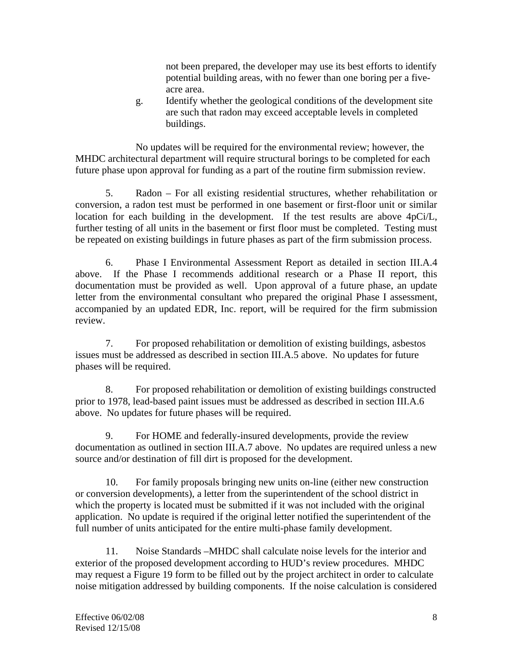not been prepared, the developer may use its best efforts to identify potential building areas, with no fewer than one boring per a fiveacre area.

g. Identify whether the geological conditions of the development site are such that radon may exceed acceptable levels in completed buildings.

No updates will be required for the environmental review; however, the MHDC architectural department will require structural borings to be completed for each future phase upon approval for funding as a part of the routine firm submission review.

5. Radon – For all existing residential structures, whether rehabilitation or conversion, a radon test must be performed in one basement or first-floor unit or similar location for each building in the development. If the test results are above 4pCi/L, further testing of all units in the basement or first floor must be completed. Testing must be repeated on existing buildings in future phases as part of the firm submission process.

6. Phase I Environmental Assessment Report as detailed in section III.A.4 above. If the Phase I recommends additional research or a Phase II report, this documentation must be provided as well. Upon approval of a future phase, an update letter from the environmental consultant who prepared the original Phase I assessment, accompanied by an updated EDR, Inc. report, will be required for the firm submission review.

7. For proposed rehabilitation or demolition of existing buildings, asbestos issues must be addressed as described in section III.A.5 above. No updates for future phases will be required.

8. For proposed rehabilitation or demolition of existing buildings constructed prior to 1978, lead-based paint issues must be addressed as described in section III.A.6 above. No updates for future phases will be required.

9. For HOME and federally-insured developments, provide the review documentation as outlined in section III.A.7 above. No updates are required unless a new source and/or destination of fill dirt is proposed for the development.

10. For family proposals bringing new units on-line (either new construction or conversion developments), a letter from the superintendent of the school district in which the property is located must be submitted if it was not included with the original application. No update is required if the original letter notified the superintendent of the full number of units anticipated for the entire multi-phase family development.

11. Noise Standards –MHDC shall calculate noise levels for the interior and exterior of the proposed development according to HUD's review procedures. MHDC may request a Figure 19 form to be filled out by the project architect in order to calculate noise mitigation addressed by building components. If the noise calculation is considered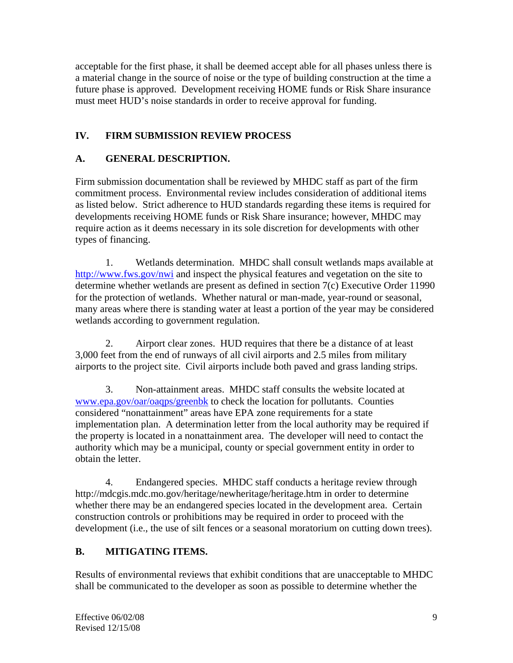acceptable for the first phase, it shall be deemed accept able for all phases unless there is a material change in the source of noise or the type of building construction at the time a future phase is approved. Development receiving HOME funds or Risk Share insurance must meet HUD's noise standards in order to receive approval for funding.

# **IV. FIRM SUBMISSION REVIEW PROCESS**

# **A. GENERAL DESCRIPTION.**

Firm submission documentation shall be reviewed by MHDC staff as part of the firm commitment process. Environmental review includes consideration of additional items as listed below. Strict adherence to HUD standards regarding these items is required for developments receiving HOME funds or Risk Share insurance; however, MHDC may require action as it deems necessary in its sole discretion for developments with other types of financing.

 1. Wetlands determination. MHDC shall consult wetlands maps available at http://www.fws.gov/nwi and inspect the physical features and vegetation on the site to determine whether wetlands are present as defined in section 7(c) Executive Order 11990 for the protection of wetlands. Whether natural or man-made, year-round or seasonal, many areas where there is standing water at least a portion of the year may be considered wetlands according to government regulation.

 2. Airport clear zones. HUD requires that there be a distance of at least 3,000 feet from the end of runways of all civil airports and 2.5 miles from military airports to the project site. Civil airports include both paved and grass landing strips.

 3. Non-attainment areas. MHDC staff consults the website located at www.epa.gov/oar/oaqps/greenbk to check the location for pollutants. Counties considered "nonattainment" areas have EPA zone requirements for a state implementation plan. A determination letter from the local authority may be required if the property is located in a nonattainment area. The developer will need to contact the authority which may be a municipal, county or special government entity in order to obtain the letter.

 4. Endangered species. MHDC staff conducts a heritage review through http://mdcgis.mdc.mo.gov/heritage/newheritage/heritage.htm in order to determine whether there may be an endangered species located in the development area. Certain construction controls or prohibitions may be required in order to proceed with the development (i.e., the use of silt fences or a seasonal moratorium on cutting down trees).

# **B. MITIGATING ITEMS.**

Results of environmental reviews that exhibit conditions that are unacceptable to MHDC shall be communicated to the developer as soon as possible to determine whether the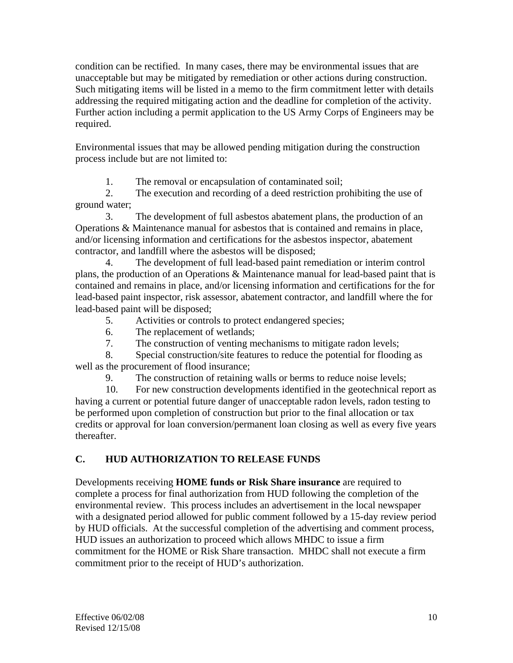condition can be rectified. In many cases, there may be environmental issues that are unacceptable but may be mitigated by remediation or other actions during construction. Such mitigating items will be listed in a memo to the firm commitment letter with details addressing the required mitigating action and the deadline for completion of the activity. Further action including a permit application to the US Army Corps of Engineers may be required.

Environmental issues that may be allowed pending mitigation during the construction process include but are not limited to:

1. The removal or encapsulation of contaminated soil;

 2. The execution and recording of a deed restriction prohibiting the use of ground water;

 3. The development of full asbestos abatement plans, the production of an Operations & Maintenance manual for asbestos that is contained and remains in place, and/or licensing information and certifications for the asbestos inspector, abatement contractor, and landfill where the asbestos will be disposed;

 4. The development of full lead-based paint remediation or interim control plans, the production of an Operations & Maintenance manual for lead-based paint that is contained and remains in place, and/or licensing information and certifications for the for lead-based paint inspector, risk assessor, abatement contractor, and landfill where the for lead-based paint will be disposed;

- 5. Activities or controls to protect endangered species;
- 6. The replacement of wetlands;
- 7. The construction of venting mechanisms to mitigate radon levels;

 8. Special construction/site features to reduce the potential for flooding as well as the procurement of flood insurance;

9. The construction of retaining walls or berms to reduce noise levels;

 10. For new construction developments identified in the geotechnical report as having a current or potential future danger of unacceptable radon levels, radon testing to be performed upon completion of construction but prior to the final allocation or tax credits or approval for loan conversion/permanent loan closing as well as every five years thereafter.

# **C. HUD AUTHORIZATION TO RELEASE FUNDS**

Developments receiving **HOME funds or Risk Share insurance** are required to complete a process for final authorization from HUD following the completion of the environmental review. This process includes an advertisement in the local newspaper with a designated period allowed for public comment followed by a 15-day review period by HUD officials. At the successful completion of the advertising and comment process, HUD issues an authorization to proceed which allows MHDC to issue a firm commitment for the HOME or Risk Share transaction. MHDC shall not execute a firm commitment prior to the receipt of HUD's authorization.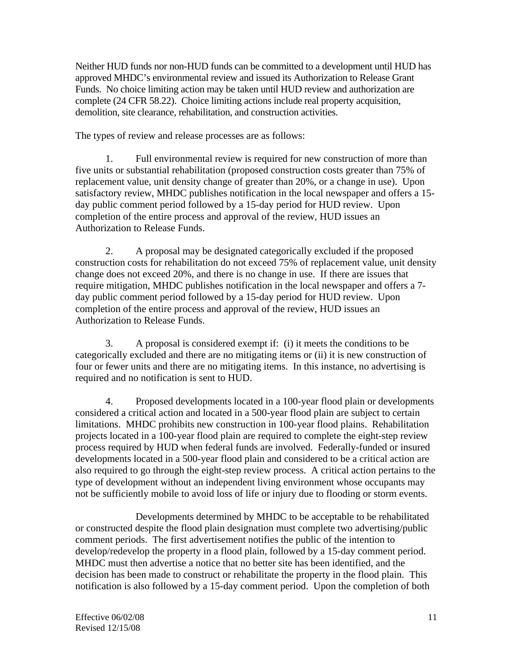Neither HUD funds nor non-HUD funds can be committed to a development until HUD has approved MHDC's environmental review and issued its Authorization to Release Grant Funds. No choice limiting action may be taken until HUD review and authorization are complete (24 CFR 58.22). Choice limiting actions include real property acquisition, demolition, site clearance, rehabilitation, and construction activities.

The types of review and release processes are as follows:

 1. Full environmental review is required for new construction of more than five units or substantial rehabilitation (proposed construction costs greater than 75% of replacement value, unit density change of greater than 20%, or a change in use). Upon satisfactory review, MHDC publishes notification in the local newspaper and offers a 15 day public comment period followed by a 15-day period for HUD review. Upon completion of the entire process and approval of the review, HUD issues an Authorization to Release Funds.

 2. A proposal may be designated categorically excluded if the proposed construction costs for rehabilitation do not exceed 75% of replacement value, unit density change does not exceed 20%, and there is no change in use. If there are issues that require mitigation, MHDC publishes notification in the local newspaper and offers a 7 day public comment period followed by a 15-day period for HUD review. Upon completion of the entire process and approval of the review, HUD issues an Authorization to Release Funds.

 3. A proposal is considered exempt if: (i) it meets the conditions to be categorically excluded and there are no mitigating items or (ii) it is new construction of four or fewer units and there are no mitigating items. In this instance, no advertising is required and no notification is sent to HUD.

 4. Proposed developments located in a 100-year flood plain or developments considered a critical action and located in a 500-year flood plain are subject to certain limitations. MHDC prohibits new construction in 100-year flood plains. Rehabilitation projects located in a 100-year flood plain are required to complete the eight-step review process required by HUD when federal funds are involved. Federally-funded or insured developments located in a 500-year flood plain and considered to be a critical action are also required to go through the eight-step review process. A critical action pertains to the type of development without an independent living environment whose occupants may not be sufficiently mobile to avoid loss of life or injury due to flooding or storm events.

 Developments determined by MHDC to be acceptable to be rehabilitated or constructed despite the flood plain designation must complete two advertising/public comment periods. The first advertisement notifies the public of the intention to develop/redevelop the property in a flood plain, followed by a 15-day comment period. MHDC must then advertise a notice that no better site has been identified, and the decision has been made to construct or rehabilitate the property in the flood plain. This notification is also followed by a 15-day comment period. Upon the completion of both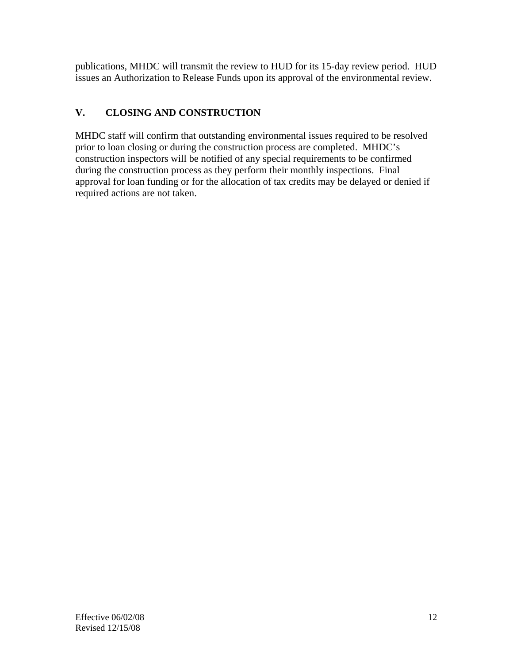publications, MHDC will transmit the review to HUD for its 15-day review period. HUD issues an Authorization to Release Funds upon its approval of the environmental review.

# **V. CLOSING AND CONSTRUCTION**

MHDC staff will confirm that outstanding environmental issues required to be resolved prior to loan closing or during the construction process are completed. MHDC's construction inspectors will be notified of any special requirements to be confirmed during the construction process as they perform their monthly inspections. Final approval for loan funding or for the allocation of tax credits may be delayed or denied if required actions are not taken.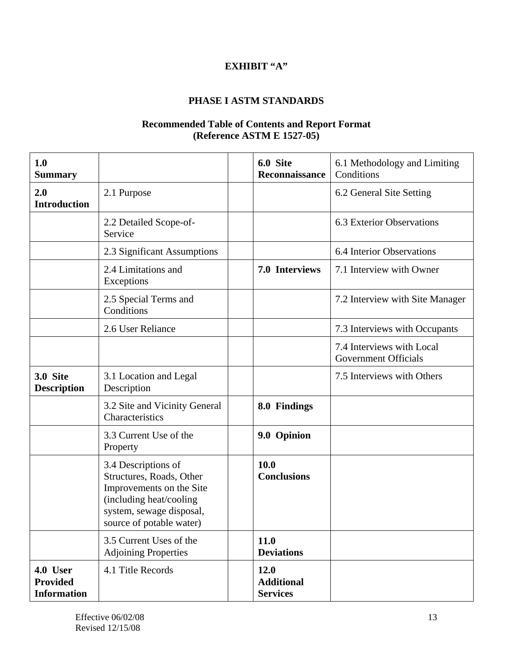# **EXHIBIT "A"**

#### **PHASE I ASTM STANDARDS**

#### **Recommended Table of Contents and Report Format (Reference ASTM E 1527-05)**

| 1.0<br><b>Summary</b>                             |                                                                                                                                                                | 6.0 Site<br>Reconnaissance                   | 6.1 Methodology and Limiting<br>Conditions               |
|---------------------------------------------------|----------------------------------------------------------------------------------------------------------------------------------------------------------------|----------------------------------------------|----------------------------------------------------------|
| 2.0<br><b>Introduction</b>                        | 2.1 Purpose                                                                                                                                                    |                                              | 6.2 General Site Setting                                 |
|                                                   | 2.2 Detailed Scope-of-<br>Service                                                                                                                              |                                              | 6.3 Exterior Observations                                |
|                                                   | 2.3 Significant Assumptions                                                                                                                                    |                                              | 6.4 Interior Observations                                |
|                                                   | 2.4 Limitations and<br>Exceptions                                                                                                                              | 7.0 Interviews                               | 7.1 Interview with Owner                                 |
|                                                   | 2.5 Special Terms and<br>Conditions                                                                                                                            |                                              | 7.2 Interview with Site Manager                          |
|                                                   | 2.6 User Reliance                                                                                                                                              |                                              | 7.3 Interviews with Occupants                            |
|                                                   |                                                                                                                                                                |                                              | 7.4 Interviews with Local<br><b>Government Officials</b> |
| 3.0 Site<br><b>Description</b>                    | 3.1 Location and Legal<br>Description                                                                                                                          |                                              | 7.5 Interviews with Others                               |
|                                                   | 3.2 Site and Vicinity General<br>Characteristics                                                                                                               | 8.0 Findings                                 |                                                          |
|                                                   | 3.3 Current Use of the<br>Property                                                                                                                             | 9.0 Opinion                                  |                                                          |
|                                                   | 3.4 Descriptions of<br>Structures, Roads, Other<br>Improvements on the Site<br>(including heat/cooling<br>system, sewage disposal,<br>source of potable water) | 10.0<br><b>Conclusions</b>                   |                                                          |
|                                                   | 3.5 Current Uses of the<br><b>Adjoining Properties</b>                                                                                                         | 11.0<br><b>Deviations</b>                    |                                                          |
| 4.0 User<br><b>Provided</b><br><b>Information</b> | 4.1 Title Records                                                                                                                                              | 12.0<br><b>Additional</b><br><b>Services</b> |                                                          |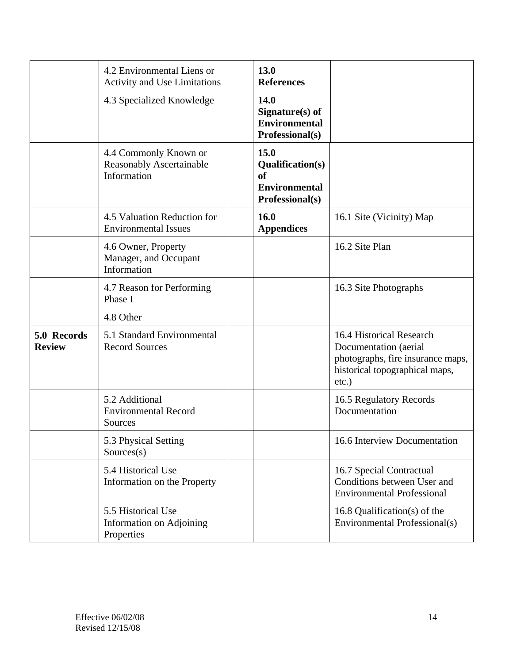|                              | 4.2 Environmental Liens or<br><b>Activity and Use Limitations</b>       | 13.0<br><b>References</b>                                                        |                                                                                                                                      |
|------------------------------|-------------------------------------------------------------------------|----------------------------------------------------------------------------------|--------------------------------------------------------------------------------------------------------------------------------------|
|                              | 4.3 Specialized Knowledge                                               | 14.0<br>Signature(s) of<br><b>Environmental</b><br>Professional(s)               |                                                                                                                                      |
|                              | 4.4 Commonly Known or<br><b>Reasonably Ascertainable</b><br>Information | 15.0<br><b>Qualification(s)</b><br>of<br><b>Environmental</b><br>Professional(s) |                                                                                                                                      |
|                              | 4.5 Valuation Reduction for<br><b>Environmental Issues</b>              | 16.0<br><b>Appendices</b>                                                        | 16.1 Site (Vicinity) Map                                                                                                             |
|                              | 4.6 Owner, Property<br>Manager, and Occupant<br>Information             |                                                                                  | 16.2 Site Plan                                                                                                                       |
|                              | 4.7 Reason for Performing<br>Phase I                                    |                                                                                  | 16.3 Site Photographs                                                                                                                |
|                              | 4.8 Other                                                               |                                                                                  |                                                                                                                                      |
| 5.0 Records<br><b>Review</b> | 5.1 Standard Environmental<br><b>Record Sources</b>                     |                                                                                  | 16.4 Historical Research<br>Documentation (aerial<br>photographs, fire insurance maps,<br>historical topographical maps,<br>$etc.$ ) |
|                              | 5.2 Additional<br><b>Environmental Record</b><br>Sources                |                                                                                  | 16.5 Regulatory Records<br>Documentation                                                                                             |
|                              | 5.3 Physical Setting<br>Sources(s)                                      |                                                                                  | 16.6 Interview Documentation                                                                                                         |
|                              | 5.4 Historical Use<br>Information on the Property                       |                                                                                  | 16.7 Special Contractual<br>Conditions between User and<br><b>Environmental Professional</b>                                         |
|                              | 5.5 Historical Use<br>Information on Adjoining<br>Properties            |                                                                                  | 16.8 Qualification(s) of the<br>Environmental Professional(s)                                                                        |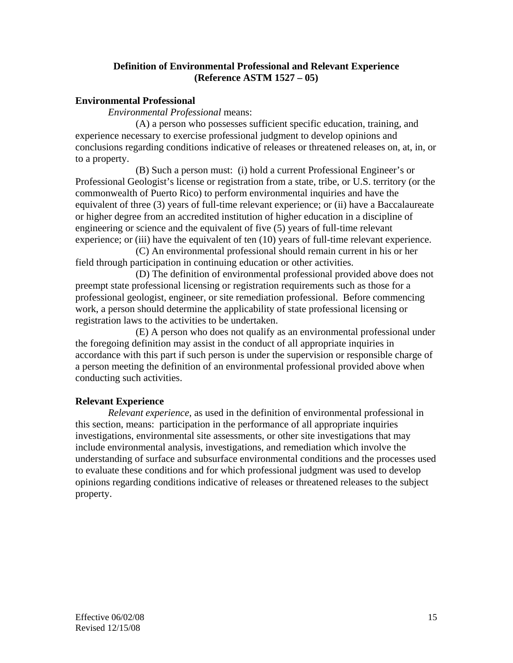#### **Definition of Environmental Professional and Relevant Experience (Reference ASTM 1527 – 05)**

#### **Environmental Professional**

*Environmental Professional* means:

 (A) a person who possesses sufficient specific education, training, and experience necessary to exercise professional judgment to develop opinions and conclusions regarding conditions indicative of releases or threatened releases on, at, in, or to a property.

 (B) Such a person must: (i) hold a current Professional Engineer's or Professional Geologist's license or registration from a state, tribe, or U.S. territory (or the commonwealth of Puerto Rico) to perform environmental inquiries and have the equivalent of three (3) years of full-time relevant experience; or (ii) have a Baccalaureate or higher degree from an accredited institution of higher education in a discipline of engineering or science and the equivalent of five (5) years of full-time relevant experience; or (iii) have the equivalent of ten (10) years of full-time relevant experience.

(C) An environmental professional should remain current in his or her field through participation in continuing education or other activities.

 (D) The definition of environmental professional provided above does not preempt state professional licensing or registration requirements such as those for a professional geologist, engineer, or site remediation professional. Before commencing work, a person should determine the applicability of state professional licensing or registration laws to the activities to be undertaken.

 (E) A person who does not qualify as an environmental professional under the foregoing definition may assist in the conduct of all appropriate inquiries in accordance with this part if such person is under the supervision or responsible charge of a person meeting the definition of an environmental professional provided above when conducting such activities.

#### **Relevant Experience**

 *Relevant experience*, as used in the definition of environmental professional in this section, means: participation in the performance of all appropriate inquiries investigations, environmental site assessments, or other site investigations that may include environmental analysis, investigations, and remediation which involve the understanding of surface and subsurface environmental conditions and the processes used to evaluate these conditions and for which professional judgment was used to develop opinions regarding conditions indicative of releases or threatened releases to the subject property.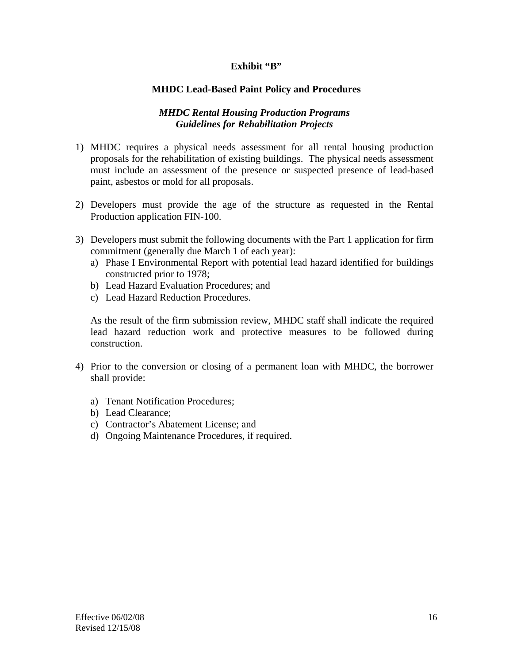#### Exhibit "B"

#### **MHDC Lead-Based Paint Policy and Procedures**

#### *MHDC Rental Housing Production Programs Guidelines for Rehabilitation Projects*

- 1) MHDC requires a physical needs assessment for all rental housing production proposals for the rehabilitation of existing buildings. The physical needs assessment must include an assessment of the presence or suspected presence of lead-based paint, asbestos or mold for all proposals.
- 2) Developers must provide the age of the structure as requested in the Rental Production application FIN-100.
- 3) Developers must submit the following documents with the Part 1 application for firm commitment (generally due March 1 of each year):
	- a) Phase I Environmental Report with potential lead hazard identified for buildings constructed prior to 1978;
	- b) Lead Hazard Evaluation Procedures; and
	- c) Lead Hazard Reduction Procedures.

As the result of the firm submission review, MHDC staff shall indicate the required lead hazard reduction work and protective measures to be followed during construction.

- 4) Prior to the conversion or closing of a permanent loan with MHDC, the borrower shall provide:
	- a) Tenant Notification Procedures;
	- b) Lead Clearance;
	- c) Contractor's Abatement License; and
	- d) Ongoing Maintenance Procedures, if required.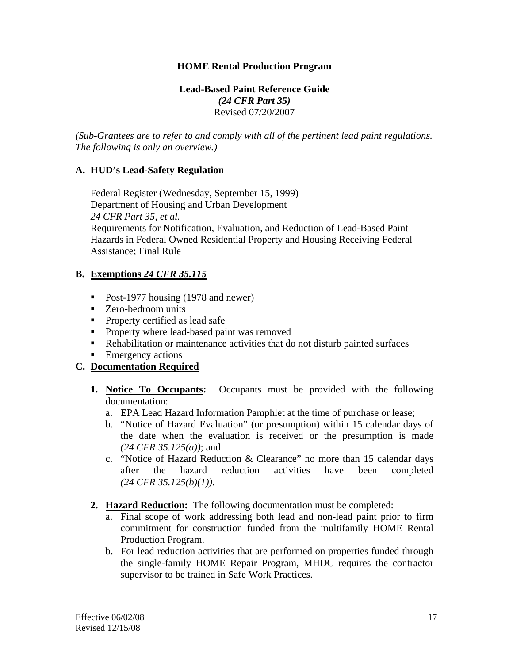#### **HOME Rental Production Program**

#### **Lead-Based Paint Reference Guide**  *(24 CFR Part 35)*  Revised 07/20/2007

*(Sub-Grantees are to refer to and comply with all of the pertinent lead paint regulations. The following is only an overview.)* 

#### **A. HUD's Lead-Safety Regulation**

 Federal Register (Wednesday, September 15, 1999) Department of Housing and Urban Development  *24 CFR Part 35, et al.*  Requirements for Notification, Evaluation, and Reduction of Lead-Based Paint Hazards in Federal Owned Residential Property and Housing Receiving Federal Assistance; Final Rule

#### **B. Exemptions** *24 CFR 35.115*

- Post-1977 housing (1978 and newer)
- **Zero-bedroom units**
- **Property certified as lead safe**
- **Property where lead-based paint was removed**
- Rehabilitation or maintenance activities that do not disturb painted surfaces
- Emergency actions

#### **C. Documentation Required**

- **1. Notice To Occupants:** Occupants must be provided with the following documentation:
	- a. EPA Lead Hazard Information Pamphlet at the time of purchase or lease;
	- b. "Notice of Hazard Evaluation" (or presumption) within 15 calendar days of the date when the evaluation is received or the presumption is made *(24 CFR 35.125(a))*; and
	- c. "Notice of Hazard Reduction & Clearance" no more than 15 calendar days after the hazard reduction activities have been completed *(24 CFR 35.125(b)(1))*.
- **2. Hazard Reduction:** The following documentation must be completed:
	- a. Final scope of work addressing both lead and non-lead paint prior to firm commitment for construction funded from the multifamily HOME Rental Production Program.
	- b. For lead reduction activities that are performed on properties funded through the single-family HOME Repair Program, MHDC requires the contractor supervisor to be trained in Safe Work Practices.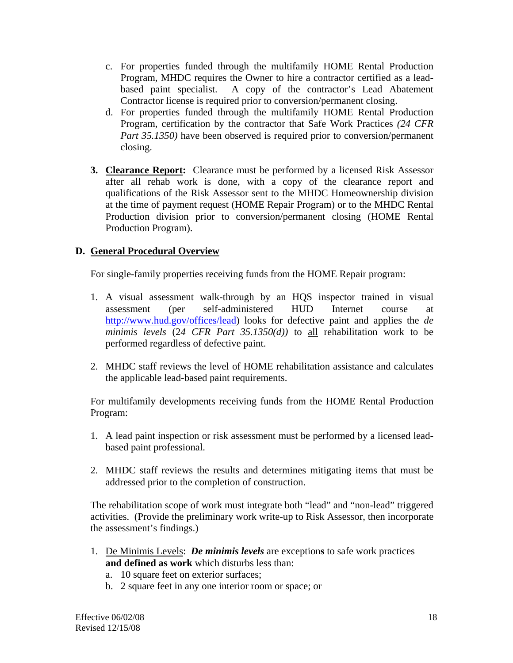- c. For properties funded through the multifamily HOME Rental Production Program, MHDC requires the Owner to hire a contractor certified as a leadbased paint specialist. A copy of the contractor's Lead Abatement Contractor license is required prior to conversion/permanent closing.
- d. For properties funded through the multifamily HOME Rental Production Program, certification by the contractor that Safe Work Practices *(24 CFR Part 35.1350)* have been observed is required prior to conversion/permanent closing.
- **3. Clearance Report:** Clearance must be performed by a licensed Risk Assessor after all rehab work is done, with a copy of the clearance report and qualifications of the Risk Assessor sent to the MHDC Homeownership division at the time of payment request (HOME Repair Program) or to the MHDC Rental Production division prior to conversion/permanent closing (HOME Rental Production Program).

# **D. General Procedural Overview**

For single-family properties receiving funds from the HOME Repair program:

- 1. A visual assessment walk-through by an HQS inspector trained in visual assessment (per self-administered HUD Internet course at http://www.hud.gov/offices/lead) looks for defective paint and applies the *de minimis levels* (2*4 CFR Part 35.1350(d))* to all rehabilitation work to be performed regardless of defective paint.
- 2. MHDC staff reviews the level of HOME rehabilitation assistance and calculates the applicable lead-based paint requirements.

 For multifamily developments receiving funds from the HOME Rental Production Program:

- 1. A lead paint inspection or risk assessment must be performed by a licensed leadbased paint professional.
- 2. MHDC staff reviews the results and determines mitigating items that must be addressed prior to the completion of construction.

 The rehabilitation scope of work must integrate both "lead" and "non-lead" triggered activities. (Provide the preliminary work write-up to Risk Assessor, then incorporate the assessment's findings.)

- 1. De Minimis Levels: *De minimis levels* are exception**s** to safe work practices **and defined as work** which disturbs less than:
	- a. 10 square feet on exterior surfaces;
	- b. 2 square feet in any one interior room or space; or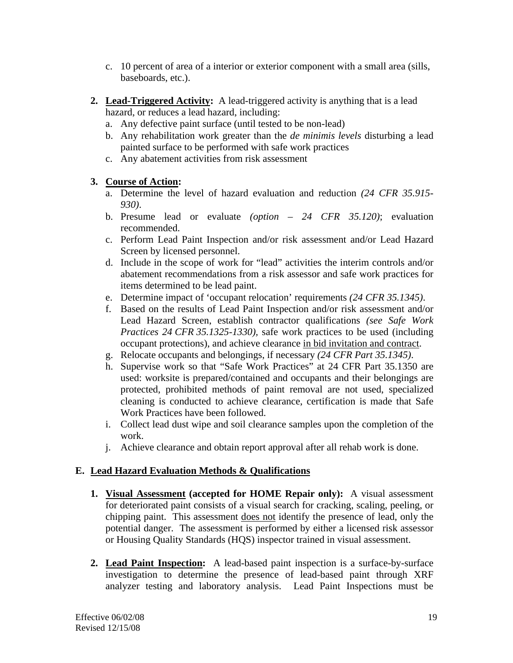- c. 10 percent of area of a interior or exterior component with a small area (sills, baseboards, etc.).
- **2. Lead-Triggered Activity:** A lead-triggered activity is anything that is a lead hazard, or reduces a lead hazard, including:
	- a. Any defective paint surface (until tested to be non-lead)
	- b. Any rehabilitation work greater than the *de minimis levels* disturbing a lead painted surface to be performed with safe work practices
	- c. Any abatement activities from risk assessment

#### **3. Course of Action:**

- a. Determine the level of hazard evaluation and reduction *(24 CFR 35.915- 930)*.
- b. Presume lead or evaluate *(option 24 CFR 35.120)*; evaluation recommended.
- c. Perform Lead Paint Inspection and/or risk assessment and/or Lead Hazard Screen by licensed personnel.
- d. Include in the scope of work for "lead" activities the interim controls and/or abatement recommendations from a risk assessor and safe work practices for items determined to be lead paint.
- e. Determine impact of 'occupant relocation' requirements *(24 CFR 35.1345)*.
- f. Based on the results of Lead Paint Inspection and/or risk assessment and/or Lead Hazard Screen, establish contractor qualifications *(see Safe Work Practices 24 CFR 35.1325-1330),* safe work practices to be used (including occupant protections), and achieve clearance in bid invitation and contract.
- g. Relocate occupants and belongings, if necessary *(24 CFR Part 35.1345)*.
- h. Supervise work so that "Safe Work Practices" at 24 CFR Part 35.1350 are used: worksite is prepared/contained and occupants and their belongings are protected, prohibited methods of paint removal are not used, specialized cleaning is conducted to achieve clearance, certification is made that Safe Work Practices have been followed.
- i. Collect lead dust wipe and soil clearance samples upon the completion of the work.
- j. Achieve clearance and obtain report approval after all rehab work is done.

# **E. Lead Hazard Evaluation Methods & Qualifications**

- **1. Visual Assessment (accepted for HOME Repair only):** A visual assessment for deteriorated paint consists of a visual search for cracking, scaling, peeling, or chipping paint. This assessment does not identify the presence of lead, only the potential danger. The assessment is performed by either a licensed risk assessor or Housing Quality Standards (HQS) inspector trained in visual assessment.
- **2. Lead Paint Inspection:** A lead-based paint inspection is a surface-by-surface investigation to determine the presence of lead-based paint through XRF analyzer testing and laboratory analysis. Lead Paint Inspections must be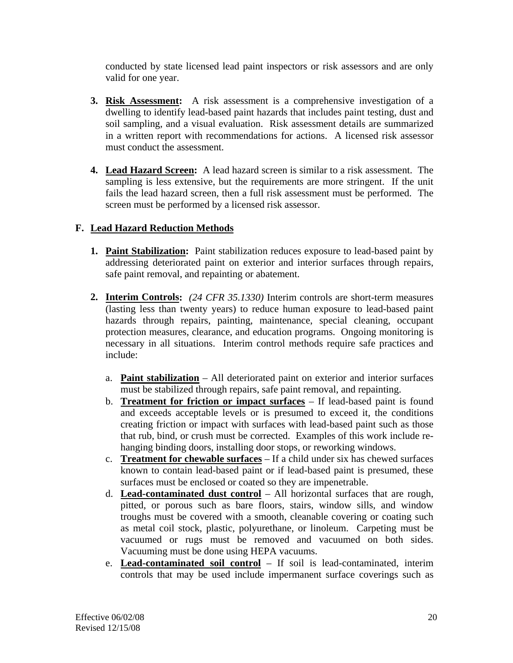conducted by state licensed lead paint inspectors or risk assessors and are only valid for one year.

- **3. Risk Assessment:** A risk assessment is a comprehensive investigation of a dwelling to identify lead-based paint hazards that includes paint testing, dust and soil sampling, and a visual evaluation. Risk assessment details are summarized in a written report with recommendations for actions. A licensed risk assessor must conduct the assessment.
- **4. Lead Hazard Screen:** A lead hazard screen is similar to a risk assessment. The sampling is less extensive, but the requirements are more stringent. If the unit fails the lead hazard screen, then a full risk assessment must be performed. The screen must be performed by a licensed risk assessor.

# **F. Lead Hazard Reduction Methods**

- **1. Paint Stabilization:** Paint stabilization reduces exposure to lead-based paint by addressing deteriorated paint on exterior and interior surfaces through repairs, safe paint removal, and repainting or abatement.
- **2. Interim Controls:** *(24 CFR 35.1330)* Interim controls are short-term measures (lasting less than twenty years) to reduce human exposure to lead-based paint hazards through repairs, painting, maintenance, special cleaning, occupant protection measures, clearance, and education programs. Ongoing monitoring is necessary in all situations. Interim control methods require safe practices and include:
	- a. **Paint stabilization** All deteriorated paint on exterior and interior surfaces must be stabilized through repairs, safe paint removal, and repainting.
	- b. **Treatment for friction or impact surfaces** If lead-based paint is found and exceeds acceptable levels or is presumed to exceed it, the conditions creating friction or impact with surfaces with lead-based paint such as those that rub, bind, or crush must be corrected. Examples of this work include rehanging binding doors, installing door stops, or reworking windows.
	- c. **Treatment for chewable surfaces** If a child under six has chewed surfaces known to contain lead-based paint or if lead-based paint is presumed, these surfaces must be enclosed or coated so they are impenetrable.
	- d. **Lead-contaminated dust control** All horizontal surfaces that are rough, pitted, or porous such as bare floors, stairs, window sills, and window troughs must be covered with a smooth, cleanable covering or coating such as metal coil stock, plastic, polyurethane, or linoleum. Carpeting must be vacuumed or rugs must be removed and vacuumed on both sides. Vacuuming must be done using HEPA vacuums.
	- e. **Lead-contaminated soil control** If soil is lead-contaminated, interim controls that may be used include impermanent surface coverings such as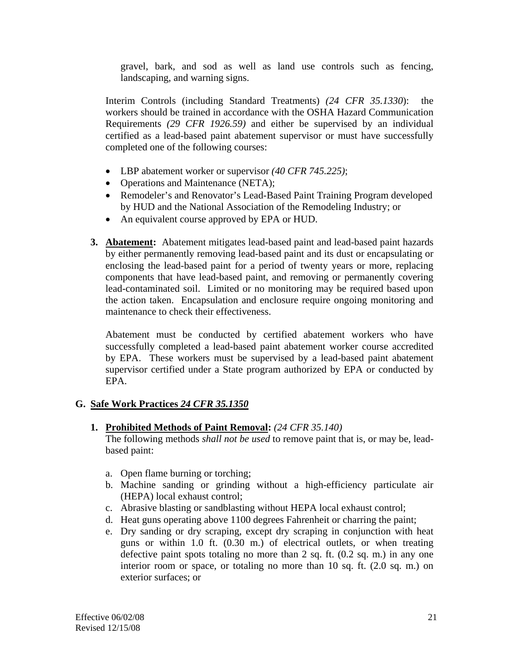gravel, bark, and sod as well as land use controls such as fencing, landscaping, and warning signs.

Interim Controls (including Standard Treatments) *(24 CFR 35.1330*): the workers should be trained in accordance with the OSHA Hazard Communication Requirements *(29 CFR 1926.59)* and either be supervised by an individual certified as a lead-based paint abatement supervisor or must have successfully completed one of the following courses:

- LBP abatement worker or supervisor *(40 CFR 745.225)*;
- Operations and Maintenance (NETA);
- Remodeler's and Renovator's Lead-Based Paint Training Program developed by HUD and the National Association of the Remodeling Industry; or
- An equivalent course approved by EPA or HUD.
- **3. Abatement:** Abatement mitigates lead-based paint and lead-based paint hazards by either permanently removing lead-based paint and its dust or encapsulating or enclosing the lead-based paint for a period of twenty years or more, replacing components that have lead-based paint, and removing or permanently covering lead-contaminated soil. Limited or no monitoring may be required based upon the action taken. Encapsulation and enclosure require ongoing monitoring and maintenance to check their effectiveness.

 Abatement must be conducted by certified abatement workers who have successfully completed a lead-based paint abatement worker course accredited by EPA. These workers must be supervised by a lead-based paint abatement supervisor certified under a State program authorized by EPA or conducted by EPA.

# **G. Safe Work Practices** *24 CFR 35.1350*

#### **1. Prohibited Methods of Paint Removal:** *(24 CFR 35.140)*

 The following methods *shall not be used* to remove paint that is, or may be, leadbased paint:

- a. Open flame burning or torching;
- b. Machine sanding or grinding without a high-efficiency particulate air (HEPA) local exhaust control;
- c. Abrasive blasting or sandblasting without HEPA local exhaust control;
- d. Heat guns operating above 1100 degrees Fahrenheit or charring the paint;
- e. Dry sanding or dry scraping, except dry scraping in conjunction with heat guns or within 1.0 ft. (0.30 m.) of electrical outlets, or when treating defective paint spots totaling no more than 2 sq. ft. (0.2 sq. m.) in any one interior room or space, or totaling no more than 10 sq. ft. (2.0 sq. m.) on exterior surfaces; or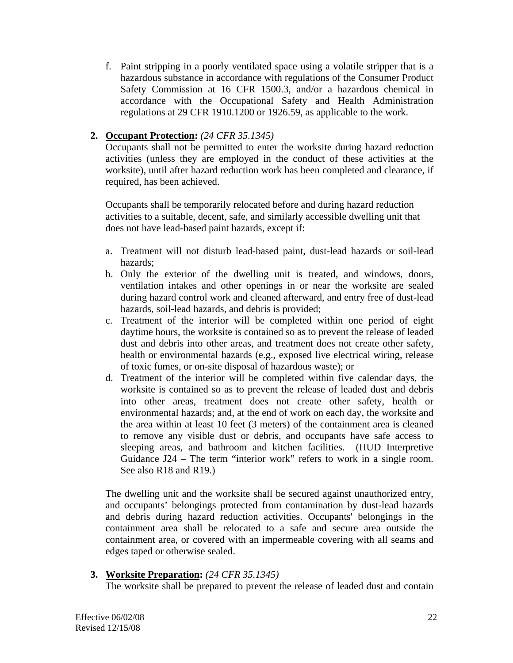f. Paint stripping in a poorly ventilated space using a volatile stripper that is a hazardous substance in accordance with regulations of the Consumer Product Safety Commission at 16 CFR 1500.3, and/or a hazardous chemical in accordance with the Occupational Safety and Health Administration regulations at 29 CFR 1910.1200 or 1926.59, as applicable to the work.

# **2. Occupant Protection:** *(24 CFR 35.1345)*

Occupants shall not be permitted to enter the worksite during hazard reduction activities (unless they are employed in the conduct of these activities at the worksite), until after hazard reduction work has been completed and clearance, if required, has been achieved.

Occupants shall be temporarily relocated before and during hazard reduction activities to a suitable, decent, safe, and similarly accessible dwelling unit that does not have lead-based paint hazards, except if:

- a. Treatment will not disturb lead-based paint, dust-lead hazards or soil-lead hazards;
- b. Only the exterior of the dwelling unit is treated, and windows, doors, ventilation intakes and other openings in or near the worksite are sealed during hazard control work and cleaned afterward, and entry free of dust-lead hazards, soil-lead hazards, and debris is provided;
- c. Treatment of the interior will be completed within one period of eight daytime hours, the worksite is contained so as to prevent the release of leaded dust and debris into other areas, and treatment does not create other safety, health or environmental hazards (e.g., exposed live electrical wiring, release of toxic fumes, or on-site disposal of hazardous waste); or
- d. Treatment of the interior will be completed within five calendar days, the worksite is contained so as to prevent the release of leaded dust and debris into other areas, treatment does not create other safety, health or environmental hazards; and, at the end of work on each day, the worksite and the area within at least 10 feet (3 meters) of the containment area is cleaned to remove any visible dust or debris, and occupants have safe access to sleeping areas, and bathroom and kitchen facilities. (HUD Interpretive Guidance J24 – The term "interior work" refers to work in a single room. See also R18 and R19.)

The dwelling unit and the worksite shall be secured against unauthorized entry, and occupants' belongings protected from contamination by dust-lead hazards and debris during hazard reduction activities. Occupants' belongings in the containment area shall be relocated to a safe and secure area outside the containment area, or covered with an impermeable covering with all seams and edges taped or otherwise sealed.

# **3. Worksite Preparation:** *(24 CFR 35.1345)*

The worksite shall be prepared to prevent the release of leaded dust and contain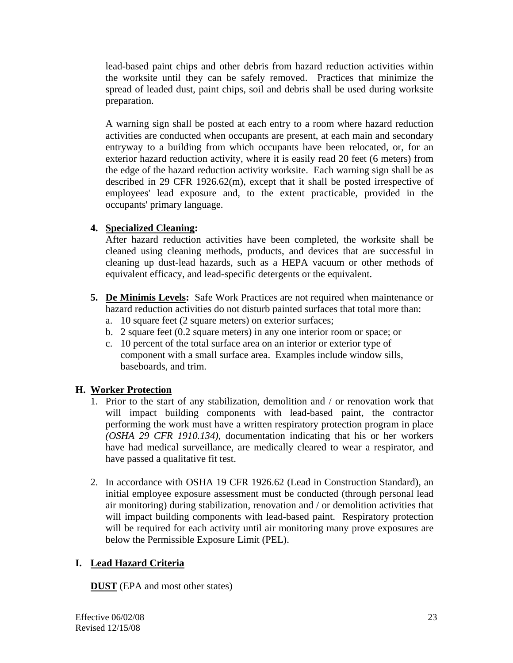lead-based paint chips and other debris from hazard reduction activities within the worksite until they can be safely removed. Practices that minimize the spread of leaded dust, paint chips, soil and debris shall be used during worksite preparation.

 A warning sign shall be posted at each entry to a room where hazard reduction activities are conducted when occupants are present, at each main and secondary entryway to a building from which occupants have been relocated, or, for an exterior hazard reduction activity, where it is easily read 20 feet (6 meters) from the edge of the hazard reduction activity worksite. Each warning sign shall be as described in 29 CFR 1926.62(m), except that it shall be posted irrespective of employees' lead exposure and, to the extent practicable, provided in the occupants' primary language.

# **4. Specialized Cleaning:**

 After hazard reduction activities have been completed, the worksite shall be cleaned using cleaning methods, products, and devices that are successful in cleaning up dust-lead hazards, such as a HEPA vacuum or other methods of equivalent efficacy, and lead-specific detergents or the equivalent.

- **5. De Minimis Levels:** Safe Work Practices are not required when maintenance or hazard reduction activities do not disturb painted surfaces that total more than:
	- a. 10 square feet (2 square meters) on exterior surfaces;
	- b. 2 square feet (0.2 square meters) in any one interior room or space; or
	- c. 10 percent of the total surface area on an interior or exterior type of component with a small surface area. Examples include window sills, baseboards, and trim.

# **H. Worker Protection**

- 1. Prior to the start of any stabilization, demolition and / or renovation work that will impact building components with lead-based paint, the contractor performing the work must have a written respiratory protection program in place *(OSHA 29 CFR 1910.134)*, documentation indicating that his or her workers have had medical surveillance, are medically cleared to wear a respirator, and have passed a qualitative fit test.
- 2. In accordance with OSHA 19 CFR 1926.62 (Lead in Construction Standard), an initial employee exposure assessment must be conducted (through personal lead air monitoring) during stabilization, renovation and / or demolition activities that will impact building components with lead-based paint. Respiratory protection will be required for each activity until air monitoring many prove exposures are below the Permissible Exposure Limit (PEL).

# **I. Lead Hazard Criteria**

**DUST** (EPA and most other states)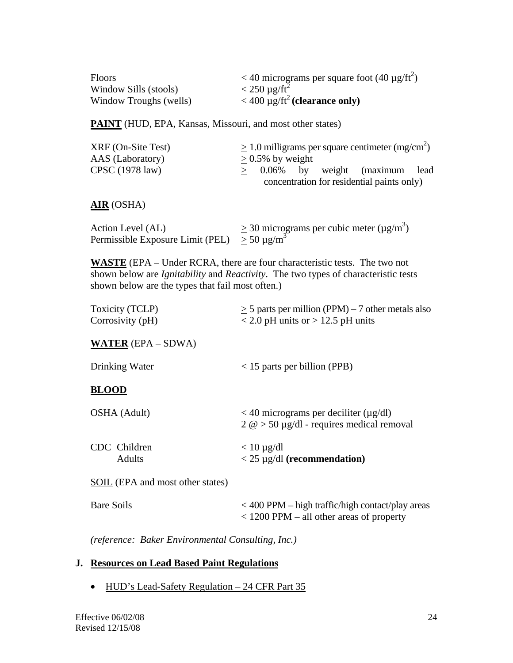| <b>Floors</b>          | $<$ 40 micrograms per square foot (40 $\mu$ g/ft <sup>2</sup> ) |
|------------------------|-----------------------------------------------------------------|
| Window Sills (stools)  | $<$ 250 µg/ft <sup>2</sup>                                      |
| Window Troughs (wells) | $<$ 400 µg/ft <sup>2</sup> (clearance only)                     |

**PAINT** (HUD, EPA, Kansas, Missouri, and most other states)

| XRF (On-Site Test)        | $\geq$ 1.0 milligrams per square centimeter (mg/cm <sup>2</sup> ) |  |  |
|---------------------------|-------------------------------------------------------------------|--|--|
| AAS (Laboratory)          | $> 0.5\%$ by weight                                               |  |  |
| CPSC $(1978 \text{ law})$ | $> 0.06\%$ by weight (maximum lead                                |  |  |
|                           | concentration for residential paints only)                        |  |  |

#### **AIR** (OSHA)

| Action Level (AL)                                      | $\geq$ 30 micrograms per cubic meter ( $\mu$ g/m <sup>3</sup> ) |
|--------------------------------------------------------|-----------------------------------------------------------------|
| Permissible Exposure Limit (PEL) $\geq 50 \,\mu g/m^3$ |                                                                 |

**WASTE** (EPA – Under RCRA, there are four characteristic tests. The two not shown below are *Ignitability* and *Reactivity*. The two types of characteristic tests shown below are the types that fail most often.)

| Toxicity (TCLP)    | $\geq$ 5 parts per million (PPM) – 7 other metals also |
|--------------------|--------------------------------------------------------|
| Corrosivity $(pH)$ | $\epsilon$ 2.0 pH units or $>$ 12.5 pH units           |

**WATER** (EPA – SDWA)

| $<$ 15 parts per billion (PPB)<br>Drinking Water |  |
|--------------------------------------------------|--|
|--------------------------------------------------|--|

#### **BLOOD**

| OSHA (Adult)  | $<$ 40 micrograms per deciliter ( $\mu$ g/dl)<br>$2 \omega > 50 \mu g/dl$ - requires medical removal |
|---------------|------------------------------------------------------------------------------------------------------|
| CDC Children  | $< 10 \mu g/dl$                                                                                      |
| <b>Adults</b> | $<$ 25 µg/dl (recommendation)                                                                        |

SOIL (EPA and most other states)

| Bare Soils | $<$ 400 PPM – high traffic/high contact/play areas |
|------------|----------------------------------------------------|
|            | $<$ 1200 PPM – all other areas of property         |

*(reference: Baker Environmental Consulting, Inc.)* 

#### **J. Resources on Lead Based Paint Regulations**

• HUD's Lead-Safety Regulation – 24 CFR Part 35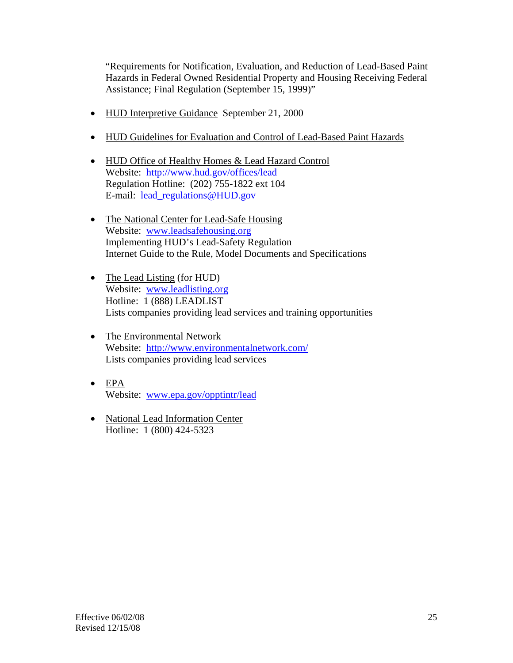"Requirements for Notification, Evaluation, and Reduction of Lead-Based Paint Hazards in Federal Owned Residential Property and Housing Receiving Federal Assistance; Final Regulation (September 15, 1999)"

- HUD Interpretive Guidance September 21, 2000
- HUD Guidelines for Evaluation and Control of Lead-Based Paint Hazards
- HUD Office of Healthy Homes & Lead Hazard Control Website: http://www.hud.gov/offices/lead Regulation Hotline: (202) 755-1822 ext 104 E-mail: lead\_regulations@HUD.gov
- The National Center for Lead-Safe Housing Website: www.leadsafehousing.org Implementing HUD's Lead-Safety Regulation Internet Guide to the Rule, Model Documents and Specifications
- The Lead Listing (for HUD) Website: www.leadlisting.org Hotline: 1 (888) LEADLIST Lists companies providing lead services and training opportunities
- The Environmental Network Website: http://www.environmentalnetwork.com/ Lists companies providing lead services
- EPA Website: www.epa.gov/opptintr/lead
- National Lead Information Center Hotline: 1 (800) 424-5323